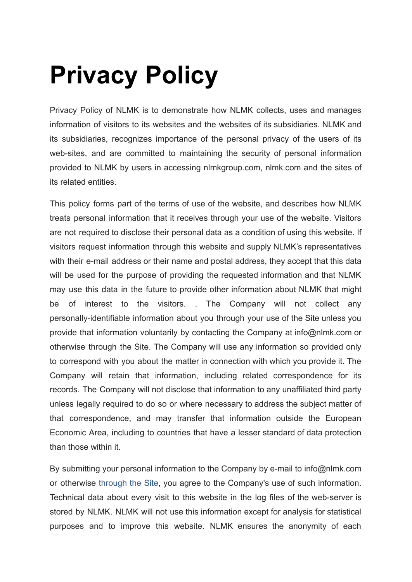## **Privacy Policy**

Privacy Policy of NLMK is to demonstrate how NLMK collects, uses and manages information of visitors to its websites and the websites of its subsidiaries. NLMK and its subsidiaries, recognizes importance of the personal privacy of the users of its web-sites, and are committed to maintaining the security of personal information provided to NLMK by users in accessing nlmkgroup.com, nlmk.com and the sites of its related entities.

This policy forms part of the terms of use of the website, and describes how NLMK treats personal information that it receives through your use of the website. Visitors are not required to disclose their personal data as a condition of using this website. If visitors request information through this website and supply NLMK's representatives with their e-mail address or their name and postal address, they accept that this data will be used for the purpose of providing the requested information and that NLMK may use this data in the future to provide other information about NLMK that might be of interest to the visitors. . The Company will not collect any personally-identifiable information about you through your use of the Site unless you provide that information voluntarily by contacting the Company at info@nlmk.com or otherwise through the Site. The Company will use any information so provided only to correspond with you about the matter in connection with which you provide it. The Company will retain that information, including related correspondence for its records. The Company will not disclose that information to any unaffiliated third party unless legally required to do so or where necessary to address the subject matter of that correspondence, and may transfer that information outside the European Economic Area, including to countries that have a lesser standard of data protection than those within it.

By submitting your personal information to the Company by e-mail to info@nlmk.com or otherwise [through](https://nlmk.com/en/data-policy/) the Site, you agree to the Company's use of such information. Technical data about every visit to this website in the log files of the web-server is stored by NLMK. NLMK will not use this information except for analysis for statistical purposes and to improve this website. NLMK ensures the anonymity of each